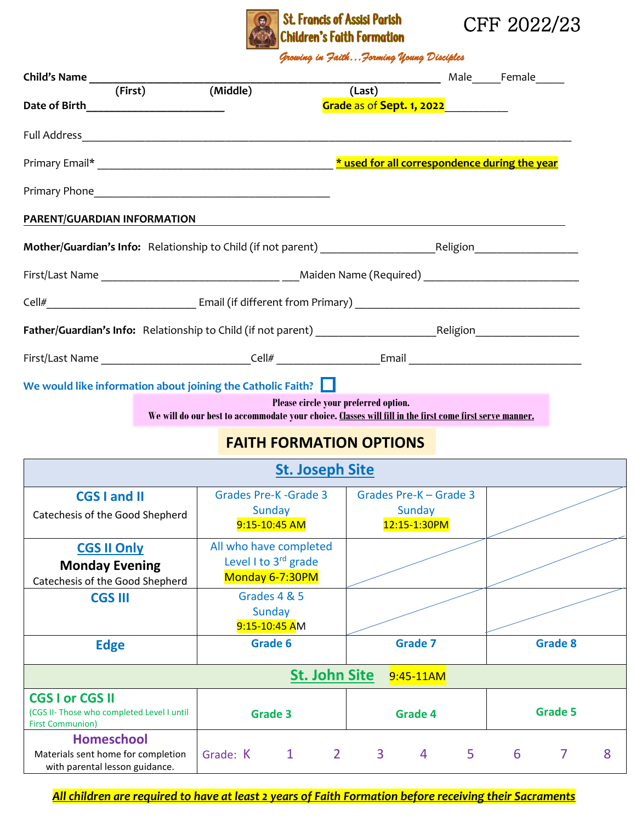

## St. Francis of Assisi Parish<br>Children's Faith Formation



*Growing in Faith…Forming Young Disciples* 

| (First)                                                               | (Middle)                                                                                                | (Last)                               |                                              |   |                     |
|-----------------------------------------------------------------------|---------------------------------------------------------------------------------------------------------|--------------------------------------|----------------------------------------------|---|---------------------|
| Date of Birth__________________________                               |                                                                                                         |                                      | Grade as of Sept. 1, 2022 <b>and Sept. 1</b> |   |                     |
|                                                                       |                                                                                                         |                                      |                                              |   |                     |
|                                                                       |                                                                                                         |                                      |                                              |   |                     |
|                                                                       |                                                                                                         |                                      |                                              |   |                     |
| PARENT/GUARDIAN INFORMATION                                           |                                                                                                         |                                      |                                              |   |                     |
|                                                                       |                                                                                                         |                                      |                                              |   |                     |
|                                                                       |                                                                                                         |                                      |                                              |   |                     |
|                                                                       |                                                                                                         |                                      |                                              |   |                     |
|                                                                       |                                                                                                         |                                      |                                              |   |                     |
|                                                                       |                                                                                                         |                                      |                                              |   |                     |
| We would like information about joining the Catholic Faith? $\Box$    |                                                                                                         |                                      |                                              |   |                     |
|                                                                       | We will do our best to accommodate your choice. Classes will fill in the first come first serve manner. | Please circle your preferred option. |                                              |   |                     |
|                                                                       | <b>FAITH FORMATION OPTIONS</b>                                                                          |                                      |                                              |   |                     |
|                                                                       |                                                                                                         | <b>St. Joseph Site</b>               |                                              |   |                     |
| <b>CGS I and II</b>                                                   | Grades Pre-K - Grade 3                                                                                  |                                      | Grades Pre-K - Grade 3                       |   |                     |
| Catechesis of the Good Shepherd                                       | Sunday<br>9:15-10:45 AM                                                                                 |                                      | Sunday<br>12:15-1:30PM                       |   |                     |
| <b>CGS II Only</b>                                                    | All who have completed                                                                                  |                                      |                                              |   |                     |
| <b>Monday Evening</b>                                                 | Level I to 3rd grade                                                                                    |                                      |                                              |   |                     |
| Catechesis of the Good Shepherd                                       | Monday 6-7:30PM                                                                                         |                                      |                                              |   |                     |
| <b>CGS III</b>                                                        | Grades 4 & 5                                                                                            |                                      |                                              |   |                     |
|                                                                       | Sunday                                                                                                  |                                      |                                              |   |                     |
|                                                                       | 9:15-10:45 AM                                                                                           |                                      |                                              |   |                     |
| <b>Edge</b>                                                           | Grade 6                                                                                                 |                                      | <b>Grade 7</b>                               |   | <b>Grade 8</b>      |
|                                                                       |                                                                                                         | <b>St. John Site</b>                 | 9:45-11AM                                    |   |                     |
| <b>CGS I or CGS II</b>                                                |                                                                                                         |                                      |                                              |   |                     |
| (CGS II- Those who completed Level I until<br><b>First Communion)</b> | <b>Grade 3</b>                                                                                          |                                      | <b>Grade 4</b>                               |   | <b>Grade 5</b>      |
| <b>Homeschool</b>                                                     |                                                                                                         |                                      |                                              |   |                     |
| Materials sent home for completion                                    | $\mathbf{1}$<br>Grade: K                                                                                | $\overline{3}$<br>$\overline{2}$     | 5<br>4                                       | 6 | $\overline{7}$<br>8 |

*All children are required to have at least 2 years of Faith Formation before receiving their Sacraments*

with parental lesson guidance.